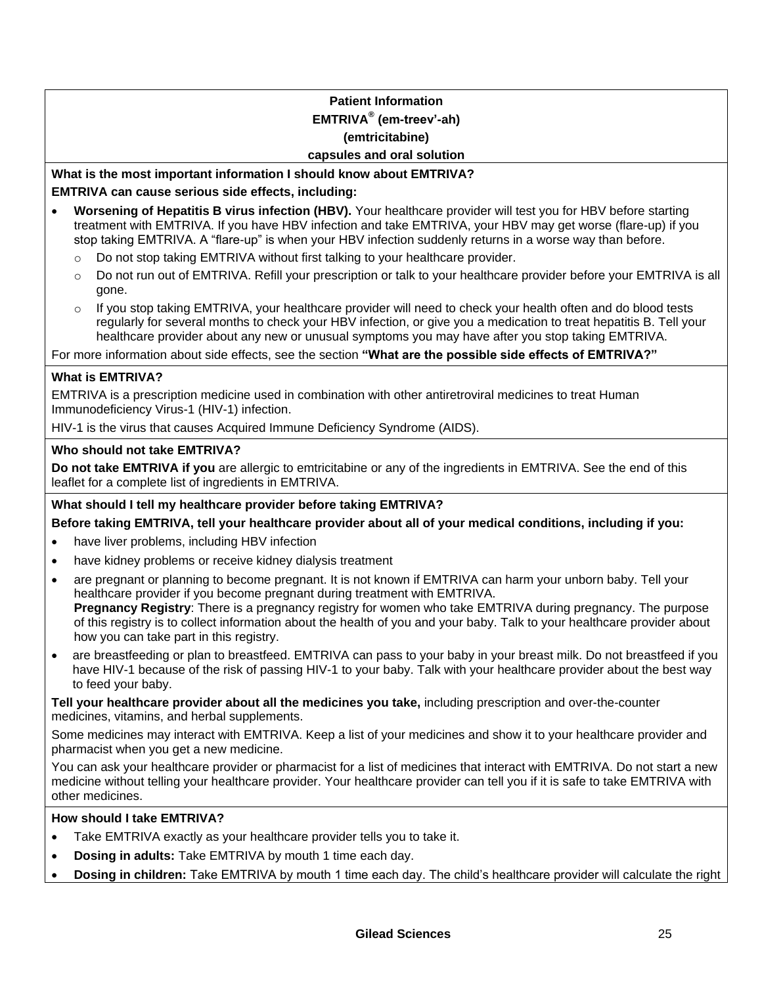# **Patient Information EMTRIVA® (em-treev'-ah)**

# **(emtricitabine)**

#### **capsules and oral solution**

# **What is the most important information I should know about EMTRIVA? EMTRIVA can cause serious side effects, including:**

- **Worsening of Hepatitis B virus infection (HBV).** Your healthcare provider will test you for HBV before starting treatment with EMTRIVA. If you have HBV infection and take EMTRIVA, your HBV may get worse (flare-up) if you stop taking EMTRIVA. A "flare-up" is when your HBV infection suddenly returns in a worse way than before.
	- $\circ$  Do not stop taking EMTRIVA without first talking to your healthcare provider.
	- o Do not run out of EMTRIVA. Refill your prescription or talk to your healthcare provider before your EMTRIVA is all gone.
	- $\circ$  If you stop taking EMTRIVA, your healthcare provider will need to check your health often and do blood tests regularly for several months to check your HBV infection, or give you a medication to treat hepatitis B. Tell your healthcare provider about any new or unusual symptoms you may have after you stop taking EMTRIVA.

For more information about side effects, see the section **"What are the possible side effects of EMTRIVA?"**

## **What is EMTRIVA?**

EMTRIVA is a prescription medicine used in combination with other antiretroviral medicines to treat Human Immunodeficiency Virus-1 (HIV-1) infection.

HIV-1 is the virus that causes Acquired Immune Deficiency Syndrome (AIDS).

## **Who should not take EMTRIVA?**

**Do not take EMTRIVA if you** are allergic to emtricitabine or any of the ingredients in EMTRIVA. See the end of this leaflet for a complete list of ingredients in EMTRIVA.

# **What should I tell my healthcare provider before taking EMTRIVA?**

**Before taking EMTRIVA, tell your healthcare provider about all of your medical conditions, including if you:**

- have liver problems, including HBV infection
- have kidney problems or receive kidney dialysis treatment
- are pregnant or planning to become pregnant. It is not known if EMTRIVA can harm your unborn baby. Tell your healthcare provider if you become pregnant during treatment with EMTRIVA. **Pregnancy Registry**: There is a pregnancy registry for women who take EMTRIVA during pregnancy. The purpose of this registry is to collect information about the health of you and your baby. Talk to your healthcare provider about how you can take part in this registry.
- are breastfeeding or plan to breastfeed. EMTRIVA can pass to your baby in your breast milk. Do not breastfeed if you have HIV-1 because of the risk of passing HIV-1 to your baby. Talk with your healthcare provider about the best way to feed your baby.

**Tell your healthcare provider about all the medicines you take,** including prescription and over-the-counter medicines, vitamins, and herbal supplements.

Some medicines may interact with EMTRIVA. Keep a list of your medicines and show it to your healthcare provider and pharmacist when you get a new medicine.

You can ask your healthcare provider or pharmacist for a list of medicines that interact with EMTRIVA. Do not start a new medicine without telling your healthcare provider. Your healthcare provider can tell you if it is safe to take EMTRIVA with other medicines.

#### **How should I take EMTRIVA?**

- Take EMTRIVA exactly as your healthcare provider tells you to take it.
- **Dosing in adults:** Take EMTRIVA by mouth 1 time each day.
- **Dosing in children:** Take EMTRIVA by mouth 1 time each day. The child's healthcare provider will calculate the right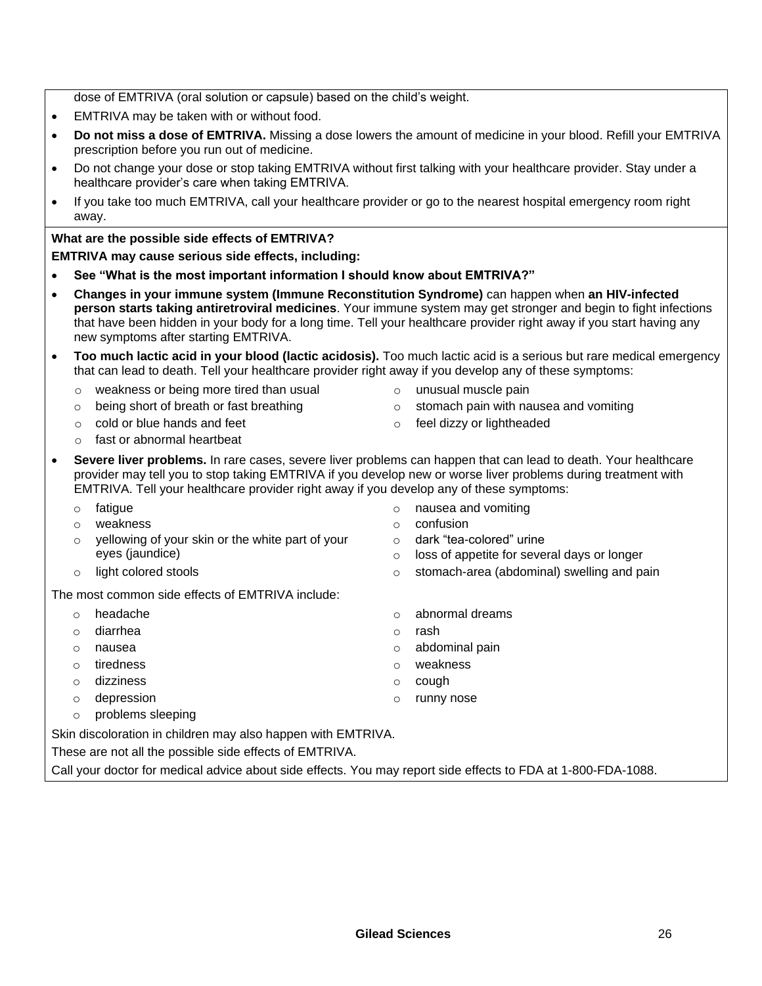dose of EMTRIVA (oral solution or capsule) based on the child's weight.

- EMTRIVA may be taken with or without food.
- **Do not miss a dose of EMTRIVA.** Missing a dose lowers the amount of medicine in your blood. Refill your EMTRIVA prescription before you run out of medicine.
- Do not change your dose or stop taking EMTRIVA without first talking with your healthcare provider. Stay under a healthcare provider's care when taking EMTRIVA.
- If you take too much EMTRIVA, call your healthcare provider or go to the nearest hospital emergency room right away.

## **What are the possible side effects of EMTRIVA?**

## **EMTRIVA may cause serious side effects, including:**

- **See "What is the most important information I should know about EMTRIVA?"**
- **Changes in your immune system (Immune Reconstitution Syndrome)** can happen when **an HIV-infected person starts taking antiretroviral medicines**. Your immune system may get stronger and begin to fight infections that have been hidden in your body for a long time. Tell your healthcare provider right away if you start having any new symptoms after starting EMTRIVA.
- **Too much lactic acid in your blood (lactic acidosis).** Too much lactic acid is a serious but rare medical emergency that can lead to death. Tell your healthcare provider right away if you develop any of these symptoms:
	- $\circ$  weakness or being more tired than usual  $\circ$  unusual muscle pain
		-

 $\circ$  confusion

- $\circ$  being short of breath or fast breathing  $\circ$  stomach pain with nausea and vomiting
	-
- o fast or abnormal heartbeat

o nausea and vomiting

o dark "tea-colored" urine

o loss of appetite for several days or longer

- $\circ$  cold or blue hands and feet  $\circ$  feel dizzy or lightheaded
- **Severe liver problems.** In rare cases, severe liver problems can happen that can lead to death. Your healthcare provider may tell you to stop taking EMTRIVA if you develop new or worse liver problems during treatment with EMTRIVA. Tell your healthcare provider right away if you develop any of these symptoms:
	- o fatigue
	- o weakness
	- o yellowing of your skin or the white part of your eyes (jaundice)
	- $\circ$  light colored stools  $\circ$  stomach-area (abdominal) swelling and pain
- The most common side effects of EMTRIVA include:
	- o headache o abnormal dreams
	- o diarrhea o rash
	- o nausea o abdominal pain
	- o tiredness o weakness
	- o dizziness o cough
	- o depression o runny nose
	- o problems sleeping

Skin discoloration in children may also happen with EMTRIVA.

These are not all the possible side effects of EMTRIVA.

Call your doctor for medical advice about side effects. You may report side effects to FDA at 1-800-FDA-1088.

**Gilead Sciences** 26